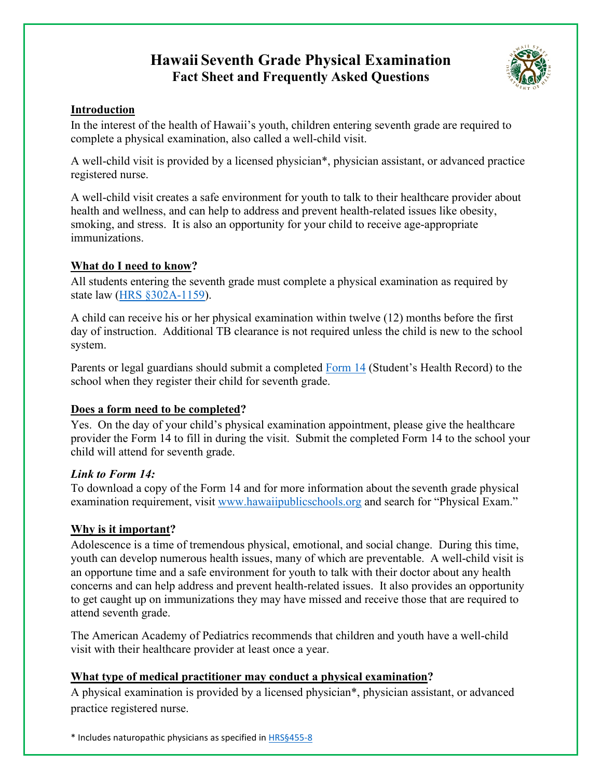# **Hawaii Seventh Grade Physical Examination Fact Sheet and Frequently Asked Questions**



#### **Introduction**

In the interest of the health of Hawaii's youth, children entering seventh grade are required to complete a physical examination, also called a well-child visit.

A well-child visit is provided by a licensed physician\*, physician assistant, or advanced practice registered nurse.

A well-child visit creates a safe environment for youth to talk to their healthcare provider about health and wellness, and can help to address and prevent health-related issues like obesity, smoking, and stress. It is also an opportunity for your child to receive age-appropriate immunizations.

## **What do I need to know?**

All students entering the seventh grade must complete a physical examination as required by state law (HRS [§302A-1159\)](https://www.capitol.hawaii.gov/hrscurrent/Vol05_Ch0261-0319/HRS0302A/HRS_0302A-1159.htm).

A child can receive his or her physical examination within twelve (12) months before the first day of instruction. Additional TB clearance is not required unless the child is new to the school system.

Parents or legal guardians should submit a completed [Form 14](https://www.hawaiipublicschools.org/DOE%20Forms/Enrollment/StudentHealthRecord.pdf) (Student's Health Record) to the school when they register their child for seventh grade.

# **Does a form need to be completed?**

Yes. On the day of your child's physical examination appointment, please give the healthcare provider the Form 14 to fill in during the visit. Submit the completed Form 14 to the school your child will attend for seventh grade.

## *Link to Form 14:*

To download a copy of the Form 14 and for more information about the seventh grade physical examination requirement, visit [www.hawaiipublicschools.org](http://www.hawaiipublicschools.org/) and search for "Physical Exam."

# **Why is it important?**

Adolescence is a time of tremendous physical, emotional, and social change. During this time, youth can develop numerous health issues, many of which are preventable. A well-child visit is an opportune time and a safe environment for youth to talk with their doctor about any health concerns and can help address and prevent health-related issues. It also provides an opportunity to get caught up on immunizations they may have missed and receive those that are required to attend seventh grade.

The American Academy of Pediatrics recommends that children and youth have a well-child visit with their healthcare provider at least once a year.

# **What type of medical practitioner may conduct a physical examination?**

A physical examination is provided by a licensed physician\*, physician assistant, or advanced practice registered nurse.

\* Includes naturopathic physicians as specified in [HRS§455-8](http://www.capitol.hawaii.gov/hrscurrent/Vol10_Ch0436-0474/HRS0455/HRS_0455-0008.htm)